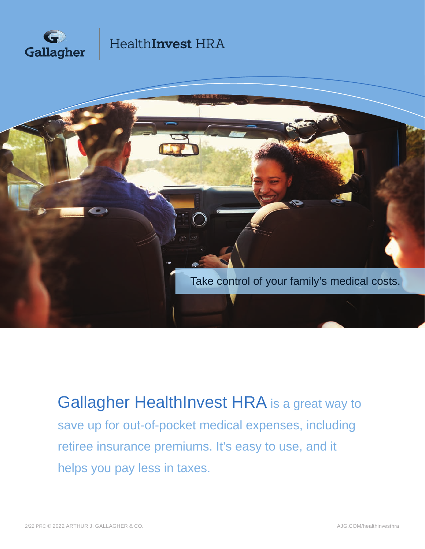



Gallagher HealthInvest HRA is a great way to save up for out-of-pocket medical expenses, including retiree insurance premiums. It's easy to use, and it helps you pay less in taxes.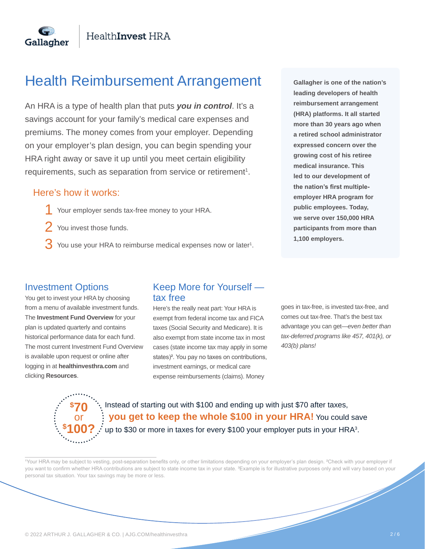## Health Reimbursement Arrangement

An HRA is a type of health plan that puts *you in control*. It's a savings account for your family's medical care expenses and premiums. The money comes from your employer. Depending on your employer's plan design, you can begin spending your HRA right away or save it up until you meet certain eligibility requirements, such as separation from service or retirement<sup>1</sup>.

#### Here's how it works:

Gallagher

- Your employer sends tax-free money to your HRA. 1
- You invest those funds. 2
- You use your HRA to reimburse medical expenses now or later<sup>1</sup>. 3

**Gallagher is one of the nation's leading developers of health reimbursement arrangement (HRA) platforms. It all started more than 30 years ago when a retired school administrator expressed concern over the growing cost of his retiree medical insurance. This led to our development of the nation's first multipleemployer HRA program for public employees. Today, we serve over 150,000 HRA participants from more than 1,100 employers.**

#### Investment Options

You get to invest your HRA by choosing from a menu of available investment funds. The **Investment Fund Overview** for your plan is updated quarterly and contains historical performance data for each fund. The most current Investment Fund Overview is available upon request or online after logging in at **healthinvesthra.com** and clicking **Resources**.

#### Keep More for Yourself tax free

Here's the really neat part: Your HRA is exempt from federal income tax and FICA taxes (Social Security and Medicare). It is also exempt from state income tax in most cases (state income tax may apply in some states)<sup>2</sup>. You pay no taxes on contributions, investment earnings, or medical care expense reimbursements (claims). Money

goes in tax-free, is invested tax-free, and comes out tax-free. That's the best tax advantage you can get—*even better than tax-deferred programs like 457, 401(k), or 403(b) plans!*

**\$ 70** or **\$ 100?**

 $\overline{a}$ 

 Instead of starting out with \$100 and ending up with just \$70 after taxes,  **you get to keep the whole \$100 in your HRA!** You could save  $\cdot$  up to \$30 or more in taxes for every \$100 your employer puts in your HRA<sup>3</sup>.

Your HRA may be subject to vesting, post-separation benefits only, or other limitations depending on your employer's plan design. <sup>2</sup>Check with your employer if you want to confirm whether HRA contributions are subject to state income tax in your state. <sup>3</sup>Example is for illustrative purposes only and will vary based on your personal tax situation. Your tax savings may be more or less.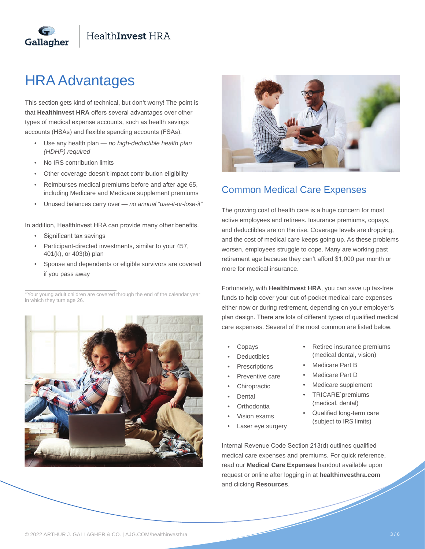

## HRA Advantages

Gallagher

This section gets kind of technical, but don't worry! The point is that **HealthInvest HRA** offers several advantages over other types of medical expense accounts, such as health savings accounts (HSAs) and flexible spending accounts (FSAs).

- Use any health plan *no high-deductible health plan (HDHP) required*
- No IRS contribution limits
- Other coverage doesn't impact contribution eligibility
- Reimburses medical premiums before and after age 65, including Medicare and Medicare supplement premiums
- Unused balances carry over *no annual "use-it-or-lose-it"*

In addition, HealthInvest HRA can provide many other benefits.

Significant tax savings

 $\overline{a}$ 

- Participant-directed investments, similar to your 457, 401(k), or 403(b) plan
- Spouse and dependents or eligible survivors are covered if you pass away

<sup>4</sup> Your young adult children are covered through the end of the calendar year in which they turn age 26.





### Common Medical Care Expenses

The growing cost of health care is a huge concern for most active employees and retirees. Insurance premiums, copays, and deductibles are on the rise. Coverage levels are dropping, and the cost of medical care keeps going up. As these problems worsen, employees struggle to cope. Many are working past retirement age because they can't afford \$1,000 per month or more for medical insurance.

Fortunately, with **HealthInvest HRA**, you can save up tax-free funds to help cover your out-of-pocket medical care expenses either now or during retirement, depending on your employer's plan design. There are lots of different types of qualified medical care expenses. Several of the most common are listed below.

- **Copays**
- **Deductibles**
- **Prescriptions**
- Preventive care
- **Chiropractic**
- **Dental**
- Orthodontia
- Vision exams
- Laser eye surgery
- Retiree insurance premiums (medical dental, vision)
- Medicare Part B
- Medicare Part D
- Medicare supplement
- TRICARE`premiums (medical, dental)
- Qualified long-term care (subject to IRS limits)

Internal Revenue Code Section 213(d) outlines qualified medical care expenses and premiums. For quick reference, read our **Medical Care Expenses** handout available upon request or online after logging in at **healthinvesthra.com** and clicking **Resources**.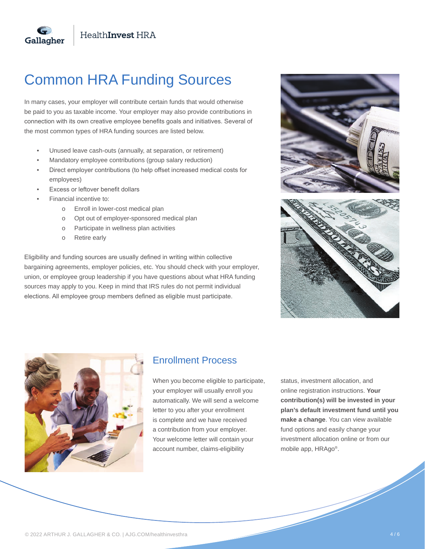

In many cases, your employer will contribute certain funds that would otherwise be paid to you as taxable income. Your employer may also provide contributions in connection with its own creative employee benefits goals and initiatives. Several of the most common types of HRA funding sources are listed below.

- Unused leave cash-outs (annually, at separation, or retirement)
- Mandatory employee contributions (group salary reduction)
- Direct employer contributions (to help offset increased medical costs for employees)
- Excess or leftover benefit dollars
- Financial incentive to:

Gallagher

- o Enroll in lower-cost medical plan
- o Opt out of employer-sponsored medical plan
- o Participate in wellness plan activities
- o Retire early

Eligibility and funding sources are usually defined in writing within collective bargaining agreements, employer policies, etc. You should check with your employer, union, or employee group leadership if you have questions about what HRA funding sources may apply to you. Keep in mind that IRS rules do not permit individual elections. All employee group members defined as eligible must participate.





#### Enrollment Process

When you become eligible to participate, your employer will usually enroll you automatically. We will send a welcome letter to you after your enrollment is complete and we have received a contribution from your employer. Your welcome letter will contain your account number, claims-eligibility

status, investment allocation, and online registration instructions. **Your contribution(s) will be invested in your plan's default investment fund until you make a change**. You can view available fund options and easily change your investment allocation online or from our mobile app, HRAgo®.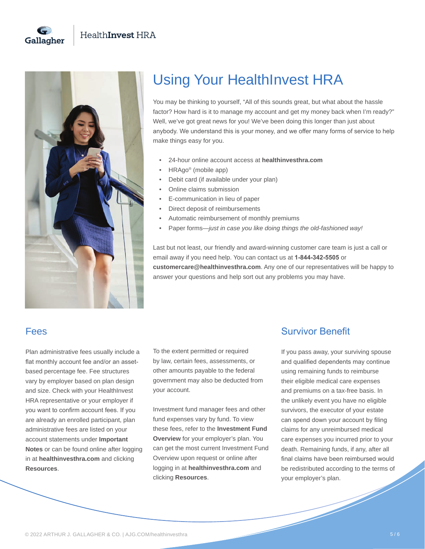



# Using Your HealthInvest HRA

You may be thinking to yourself, "All of this sounds great, but what about the hassle factor? How hard is it to manage my account and get my money back when I'm ready?" Well, we've got great news for you! We've been doing this longer than just about anybody. We understand this is your money, and we offer many forms of service to help make things easy for you.

- 24-hour online account access at **healthinvesthra.com**
- HRAgo® (mobile app)
- Debit card (if available under your plan)
- Online claims submission
- E-communication in lieu of paper
- Direct deposit of reimbursements
- Automatic reimbursement of monthly premiums
- Paper forms—*just in case you like doing things the old-fashioned way!*

Last but not least, our friendly and award-winning customer care team is just a call or email away if you need help. You can contact us at **1-844-342-5505** or **customercare@healthinvesthra.com**. Any one of our representatives will be happy to answer your questions and help sort out any problems you may have.

## Fees

Plan administrative fees usually include a flat monthly account fee and/or an assetbased percentage fee. Fee structures vary by employer based on plan design and size. Check with your HealthInvest HRA representative or your employer if you want to confirm account fees. If you are already an enrolled participant, plan administrative fees are listed on your account statements under **Important Notes** or can be found online after logging in at **healthinvesthra.com** and clicking **Resources**.

To the extent permitted or required by law, certain fees, assessments, or other amounts payable to the federal government may also be deducted from your account.

Investment fund manager fees and other fund expenses vary by fund. To view these fees, refer to the **Investment Fund Overview** for your employer's plan. You can get the most current Investment Fund Overview upon request or online after logging in at **healthinvesthra.com** and clicking **Resources**.

### Survivor Benefit

If you pass away, your surviving spouse and qualified dependents may continue using remaining funds to reimburse their eligible medical care expenses and premiums on a tax-free basis. In the unlikely event you have no eligible survivors, the executor of your estate can spend down your account by filing claims for any unreimbursed medical care expenses you incurred prior to your death. Remaining funds, if any, after all final claims have been reimbursed would be redistributed according to the terms of your employer's plan.